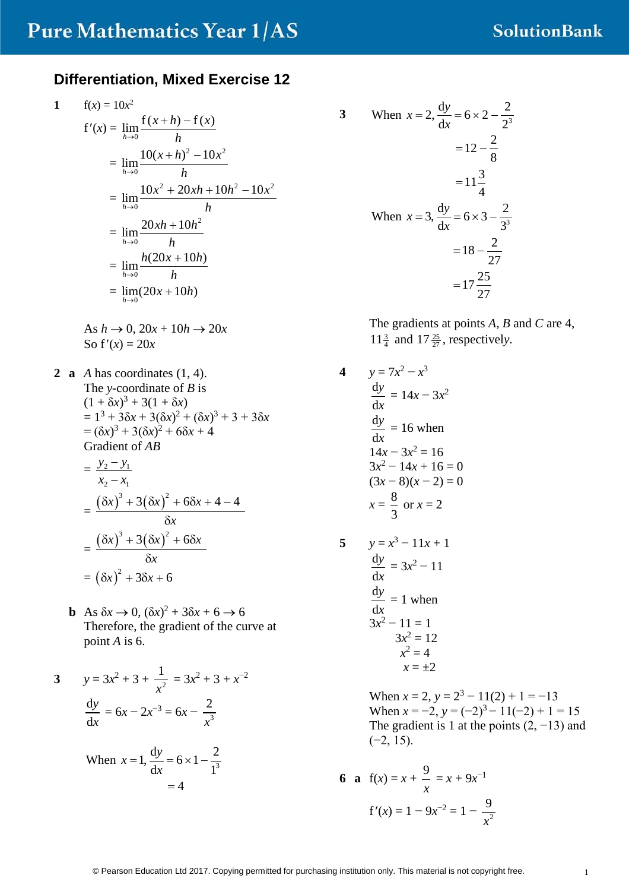#### **Differentiation, Mixed Exercise 12**

1 
$$
f(x) = 10x^2
$$
  
\n $f'(x) = lim_{h\to 0} \frac{f(x+h) - f(x)}{h}$   
\n $= lim_{h\to 0} \frac{10(x+h)^2 - 10x^2}{h}$   
\n $= lim_{h\to 0} \frac{10x^2 + 20xh + 10h^2 - 10x^2}{h}$   
\n $= lim_{h\to 0} \frac{20xh + 10h^2}{h}$   
\n $= lim_{h\to 0} \frac{h(20x + 10h)}{h}$   
\n $= lim_{h\to 0} (20x + 10h)$ 

As  $h \rightarrow 0$ ,  $20x + 10h \rightarrow 20x$ So  $f'(x) = 20x$ 

**2 a** *A* has coordinates (1, 4). The *y*-coordinate of *B* is  $(1 + \delta x)^3 + 3(1 + \delta x)$  $= 1^3 + 3\delta x + 3(\delta x)^2 + (\delta x)^3 + 3 + 3\delta x$  $= (\delta x)^3 + 3(\delta x)^2 + 6\delta x + 4$ Gradient of *AB*  $= \frac{y_2 - y_1}{ }$ 2  $\mathcal{N}_1$  $y_2 - y$  $x_2 - x$ − −  $=\frac{(\delta x)^3 + 3(\delta x)^2 + 6\delta x + 4 - 4}{s}$ 

$$
= \frac{6x}{x} \frac{8x}{x}
$$

$$
= \frac{6x}{x} \frac{3x^2 + 6x}{x}
$$

$$
= (6x)^2 + 36x + 6
$$

**b** As  $\delta x \rightarrow 0$ ,  $(\delta x)^2 + 3\delta x + 6 \rightarrow 6$ Therefore, the gradient of the curve at point *A* is 6.

3 
$$
y = 3x^2 + 3 + \frac{1}{x^2} = 3x^2 + 3 + x^{-2}
$$
  

$$
\frac{dy}{dx} = 6x - 2x^{-3} = 6x - \frac{2}{x^3}
$$

When 
$$
x = 1
$$
,  $\frac{dy}{dx} = 6 \times 1 - \frac{2}{1^3}$   
= 4

3 When 
$$
x = 2
$$
,  $\frac{dy}{dx} = 6 \times 2 - \frac{2}{2^3}$   
\n
$$
= 12 - \frac{2}{8}
$$
\n
$$
= 11\frac{3}{4}
$$
\nWhen  $x = 3$ ,  $\frac{dy}{dx} = 6 \times 3 - \frac{2}{3^3}$   
\n
$$
= 18 - \frac{2}{27}
$$
\n
$$
= 17\frac{25}{27}
$$

The gradients at points *A*, *B* and *C* are 4,  $11\frac{3}{4}$  and  $17\frac{25}{27}$ , respectively.

**4**  $y = 7x^2 - x^3$ d d *y x*  $= 14x - 3x^2$ d d *y x*  $= 16$  when  $14x - 3x^2 = 16$  $3x^2 - 14x + 16 = 0$  $(3x-8)(x-2) = 0$  $x=\frac{8}{3}$ 3 or  $x = 2$ 5  $y = x^3 - 11x + 1$ d d *y x*  $= 3x^2 - 11$ d d *y x*  $= 1$  when  $3x^2 - 11 = 1$  $3x^2 = 12$  $x^2 = 4$  $x = +2$ 

When  $x = 2$ ,  $y = 2^3 - 11(2) + 1 = -13$ When  $x = -2$ ,  $y = (-2)^3 - 11(-2) + 1 = 15$ The gradient is 1 at the points  $(2, -13)$  and  $(-2, 15)$ .

6 **a** 
$$
f(x) = x + \frac{9}{x} = x + 9x^{-1}
$$
  
 $f'(x) = 1 - 9x^{-2} = 1 - \frac{9}{x^2}$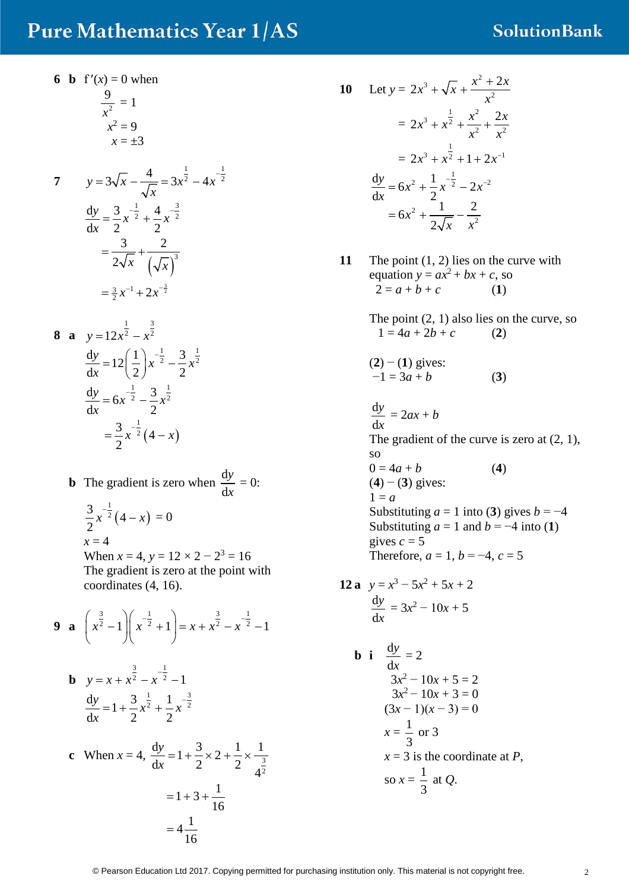### **SolutionBank**

**6 b**  $f'(x) = 0$  when 2 9 *x*  $= 1$  $x^2 = 9$ 

 $x = \pm 3$ 

7 
$$
y=3\sqrt{x} - \frac{4}{\sqrt{x}} = 3x^{\frac{1}{2}} - 4x^{-\frac{1}{2}}
$$
  
\n
$$
\frac{dy}{dx} = \frac{3}{2}x^{-\frac{1}{2}} + \frac{4}{2}x^{-\frac{3}{2}}
$$
\n
$$
= \frac{3}{2\sqrt{x}} + \frac{2}{(\sqrt{x})^3}
$$
\n
$$
= \frac{3}{2}x^{-1} + 2x^{-\frac{3}{2}}
$$

8 **a** 
$$
y=12x^{\frac{1}{2}}-x^{\frac{3}{2}}
$$
  
\n
$$
\frac{dy}{dx}=12\left(\frac{1}{2}\right)x^{-\frac{1}{2}}-\frac{3}{2}x^{\frac{1}{2}}
$$
\n
$$
\frac{dy}{dx}=6x^{-\frac{1}{2}}-\frac{3}{2}x^{\frac{1}{2}}
$$
\n
$$
=\frac{3}{2}x^{-\frac{1}{2}}(4-x)
$$

**b** The gradient is zero when  $\frac{d}{dt}$ d *y x*  $= 0:$ 

 $(4-x)$  $\frac{3}{2}x^{-\frac{1}{2}}(4)$ 2  $x^{-\frac{1}{2}}(4-x) = 0$  $x = 4$ When  $x = 4$ ,  $y = 12 \times 2 - 2^3 = 16$ The gradient is zero at the point with coordinates (4, 16).

9 **a** 
$$
\left(x^{\frac{3}{2}}-1\right)\left(x^{-\frac{1}{2}}+1\right) = x + x^{\frac{3}{2}} - x^{-\frac{1}{2}} - 1
$$

**b** 
$$
y = x + x^{\frac{3}{2}} - x^{-\frac{1}{2}} - 1
$$
  

$$
\frac{dy}{dx} = 1 + \frac{3}{2}x^{\frac{1}{2}} + \frac{1}{2}x^{-\frac{3}{2}}
$$

c When 
$$
x = 4
$$
,  $\frac{dy}{dx} = 1 + \frac{3}{2} \times 2 + \frac{1}{2} \times \frac{1}{4^{\frac{3}{2}}}$   
=  $1 + 3 + \frac{1}{16}$   
=  $4\frac{1}{16}$ 

10 Let 
$$
y = 2x^3 + \sqrt{x} + \frac{x^2 + 2x}{x^2}
$$
  
\n
$$
= 2x^3 + x^{\frac{1}{2}} + \frac{x^2}{x^2} + \frac{2x}{x^2}
$$
\n
$$
= 2x^3 + x^{\frac{1}{2}} + 1 + 2x^{-1}
$$
\n
$$
\frac{dy}{dx} = 6x^2 + \frac{1}{2}x^{-\frac{1}{2}} - 2x^{-2}
$$
\n
$$
= 6x^2 + \frac{1}{2\sqrt{x}} - \frac{2}{x^2}
$$

**11** The point  $(1, 2)$  lies on the curve with equation  $y = ax^2 + bx + c$ , so  $2 = a + b + c$  (1)

> The point  $(2, 1)$  also lies on the curve, so  $1 = 4a + 2b + c$  (2)

$$
(2) - (1)
$$
 gives:  
-1 = 3a + b (3)

d d *y x*  $= 2ax + b$ The gradient of the curve is zero at  $(2, 1)$ , so  $0 = 4a + b$  (4) (**4**) − (**3**) gives:  $1 = a$ Substituting  $a = 1$  into (3) gives  $b = -4$ Substituting  $a = 1$  and  $b = -4$  into (1) gives  $c = 5$ Therefore,  $a = 1$ ,  $b = -4$ ,  $c = 5$ 

**12 a** 
$$
y = x^3 - 5x^2 + 5x + 2
$$
  

$$
\frac{dy}{dx} = 3x^2 - 10x + 5
$$

**b** i 
$$
\frac{dy}{dx} = 2
$$
  
\n $3x^2 - 10x + 5 = 2$   
\n $3x^2 - 10x + 3 = 0$   
\n $(3x - 1)(x - 3) = 0$   
\n $x = \frac{1}{3}$  or 3  
\n $x = 3$  is the coordinate at *P*,  
\nso  $x = \frac{1}{3}$  at *Q*.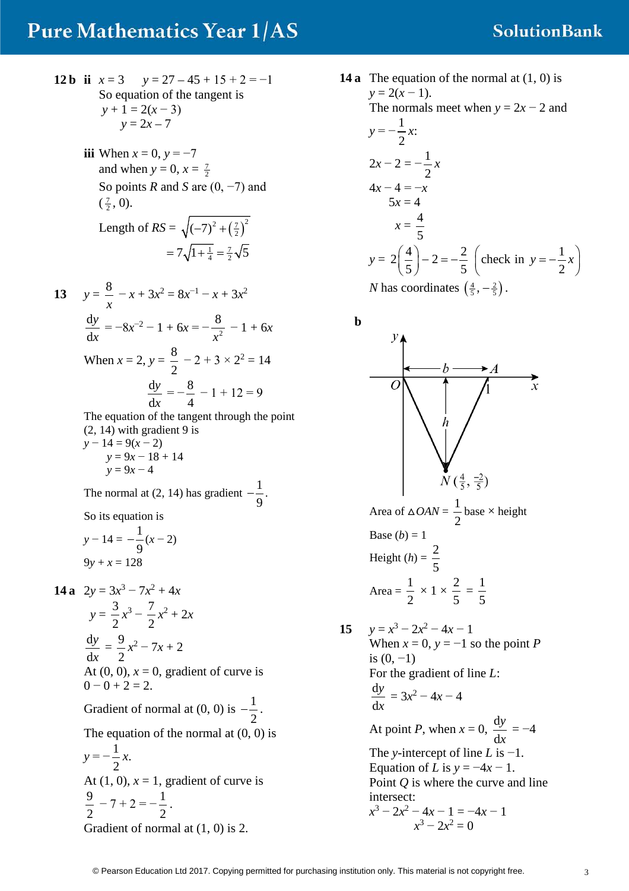#### **SolutionBank**

- **12 b ii**  $x = 3$   $y = 27 45 + 15 + 2 = -1$ So equation of the tangent is  $y + 1 = 2(x - 3)$  $y = 2x - 7$ 
	- **iii** When  $x = 0$ ,  $y = -7$ and when  $y = 0, x = \frac{7}{2}$ So points *R* and *S* are (0, −7) and  $(\frac{7}{2}, 0).$

Length of 
$$
RS = \sqrt{(-7)^2 + (\frac{7}{2})^2}
$$
  
=  $7\sqrt{1 + \frac{1}{4}} = \frac{7}{2}\sqrt{5}$ 

**13**  $y = \frac{8}{x} - x + 3x^2 = 8x^{-1} - x + 3x^2$ d d *y*  $\frac{y}{x} = -8x^{-2} - 1 + 6x = -\frac{8}{x^2} - 1 + 6x$ When  $x = 2$ ,  $y = \frac{8}{3}$ 2  $-2 + 3 \times 2^2 = 14$  $\frac{d}{1}$ d *y x*  $=-\frac{8}{4}$ 4  $-1 + 12 = 9$ The equation of the tangent through the point

 $(2, 14)$  with gradient 9 is *y* − 14 = 9(*x* − 2)  $y = 9x - 18 + 14$  $y = 9x - 4$ 

The normal at (2, 14) has gradient 
$$
-\frac{1}{9}
$$
.

So its equation is

$$
y - 14 = -\frac{1}{9}(x - 2)
$$
  
9y + x = 128

**14 a**  $2y = 3x^3 - 7x^2 + 4x$  $y = \frac{3}{2}$ 2  $x^3 - \frac{7}{2}$ 2  $x^2 + 2x$ d d *y x*  $= \frac{9}{2}$ 2 *x*<sup>2</sup> − 7*x* + 2 At  $(0, 0)$ ,  $x = 0$ , gradient of curve is  $0 - 0 + 2 = 2$ . Gradient of normal at  $(0, 0)$  is  $-\frac{1}{2}$ 2  $-\frac{1}{2}$ . The equation of the normal at  $(0, 0)$  is  $y = -\frac{1}{2}$ 2 *x*. At  $(1, 0)$ ,  $x = 1$ , gradient of curve is  $\frac{9}{2}$  – 7 + 2 =  $-\frac{1}{3}$ .

$$
\begin{array}{ccc} 2 & 2 \\ 2 & 2 \end{array}
$$

Gradient of normal at (1, 0) is 2.

**14 a** The equation of the normal at (1, 0) is  $y = 2(x - 1)$ . The normals meet when  $y = 2x - 2$  and  $y = -\frac{1}{2}$ 2 *x*:  $2x - 2 = -\frac{1}{2}$ 2 *x*  $4x - 4 = -x$ <br> $5x = 4$  $x = \frac{4}{5}$ 5  $y = 2\left(\frac{4}{5}\right) - 2 = -\frac{2}{5}$  $\left(\frac{4}{5}\right) - 2 = -\frac{2}{5}$  (check in  $y = -\frac{1}{2}x$ )

*N* has coordinates  $\left(\frac{4}{5}, -\frac{2}{5}\right)$ .



Equation of *L* is  $y = -4x - 1$ . Point *Q* is where the curve and line intersect:  $x^3 - 2x^2 - 4x - 1 = -4x - 1$  $x^3 - 2x^2 = 0$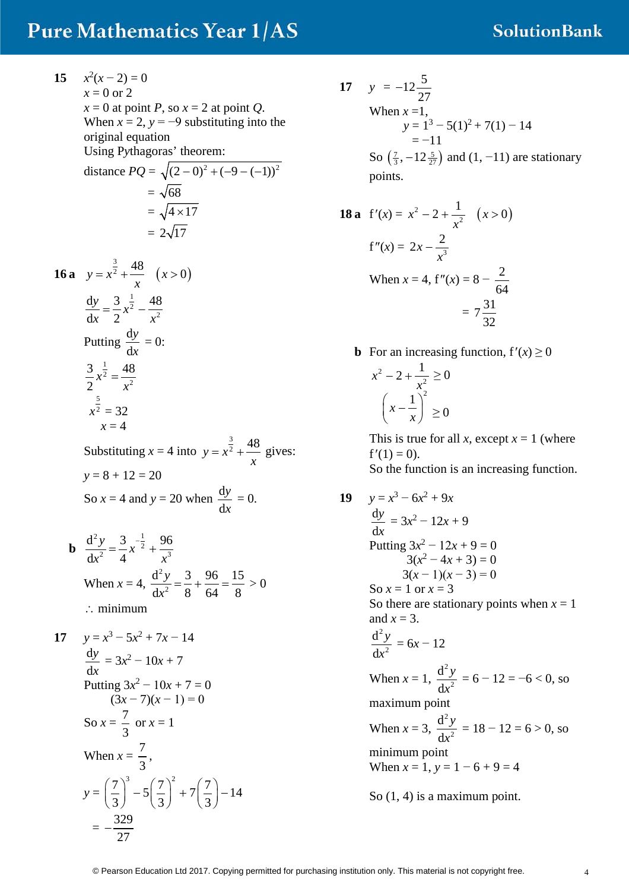#### **SolutionBank**

- **15**  $x^2(x-2) = 0$  $x = 0$  or 2  $x = 0$  at point *P*, so  $x = 2$  at point *Q*. When  $x = 2$ ,  $y = -9$  substituting into the original equation Using P*y*thagoras' theorem: distance  $PQ = \sqrt{(2-0)^2 + (-9 - (-1))^2}$  $=\sqrt{68}$  $=\sqrt{4 \times 17}$  $= 2\sqrt{17}$ **16 a**  $y = x^2 + \frac{0}{x}$   $(x > 0)$  $y = x^{\frac{3}{2}} + \frac{48}{2} \quad (x > 0)$ *x*  $=x^2 + \frac{16}{x}$   $(x >$ 1  $2-\frac{1}{r^2}$  $dy = 3\frac{1}{x^2}$  48  $dx = 2$  $\frac{y}{x} = \frac{3}{2}x$ *x x*  $=\frac{3}{2}x^2 -$ Putting  $\frac{d}{d}$ d *y x*  $= 0:$ 1  $2=\frac{1}{r^2}$  $3\frac{1}{2}$  48 2  $x^2 = \frac{1}{x}$ 5  $x^2 = 32$  $x = 4$ Substituting  $x = 4$  into  $y = x^{\frac{3}{2}} + \frac{48}{3}$ *x*  $= x^2 + \frac{16}{10}$  gives:  $y = 8 + 12 = 20$ So  $x = 4$  and  $y = 20$  when  $\frac{d}{dx}$ d *y x*  $= 0.$ **b** 2, 2  $1$  $\frac{y}{2} = \frac{z}{4}x^{2} + \frac{z}{x^{3}}$  $d^2y = 3\frac{-1}{x^2}$ , 96  $dx^2$  4  $\frac{y}{2} = \frac{3}{4}x$  $x^2$  4 x  $=\frac{3}{4}x^{-\frac{1}{2}} +$ When  $x = 4$ , 2 2  $d^2y$  3 96 15  $dx^2$  8 64 8 *y x*  $=\frac{3}{2} + \frac{36}{64} = \frac{13}{2} > 0$ ∴ minimum **17**  $y = x^3 - 5x^2 + 7x - 14$ d d *y x*  $= 3x^2 - 10x + 7$ Putting  $3x^2 - 10x + 7 = 0$  $(3x-7)(x-1)=0$ So  $x = \frac{7}{2}$ 3 or  $x = 1$ When  $x = \frac{7}{3}$ 3 ,  $y = \left(\frac{7}{2}\right)^3 - 5\left(\frac{7}{2}\right)^2 + 7\left(\frac{7}{2}\right) - 14$  $\left(\frac{7}{3}\right)^3 - 5\left(\frac{7}{3}\right)^2 + 7\left(\frac{7}{3}\right) =-\frac{329}{27}$
- **17**  $y = -12\frac{5}{27}$ When  $x = 1$ ,  $y = 1^3 - 5(1)^2 + 7(1) - 14$  $=-11$ So  $(\frac{7}{3}, -12\frac{5}{27})$  and  $(1, -11)$  are stationary points.

**18 a** 
$$
f'(x) = x^2 - 2 + \frac{1}{x^2}
$$
  $(x > 0)$   
\n $f''(x) = 2x - \frac{2}{x^3}$   
\nWhen  $x = 4$ ,  $f''(x) = 8 - \frac{2}{64}$   
\n $= 7\frac{31}{32}$ 

**b** For an increasing function,  $f'(x) \ge 0$ 

$$
x^{2}-2+\frac{1}{x^{2}} \geq 0
$$

$$
\left(x-\frac{1}{x}\right)^{2} \geq 0
$$

This is true for all *x*, except  $x = 1$  (where  $f'(1) = 0$ ). So the function is an increasing function.

19 
$$
y = x^3 - 6x^2 + 9x
$$
  
\n $\frac{dy}{dx} = 3x^2 - 12x + 9$   
\nPutting  $3x^2 - 12x + 9 = 0$   
\n $3(x^2 - 4x + 3) = 0$   
\n $3(x - 1)(x - 3) = 0$   
\nSo  $x = 1$  or  $x = 3$   
\nSo there are stationary points when  $x = 1$   
\nand  $x = 3$ .  
\n $\frac{d^2y}{dx^2} = 6x - 12$   
\nWhen  $x = 1$ ,  $\frac{d^2y}{dx^2} = 6 - 12 = -6 < 0$ , so  
\nmaximum point  
\nWhen  $x = 3$ ,  $\frac{d^2y}{dx^2} = 18 - 12 = 6 > 0$ , so  
\nminimum point  
\nWhen  $x = 1$ ,  $y = 1 - 6 + 9 = 4$   
\nSo (1, 4) is a maximum point.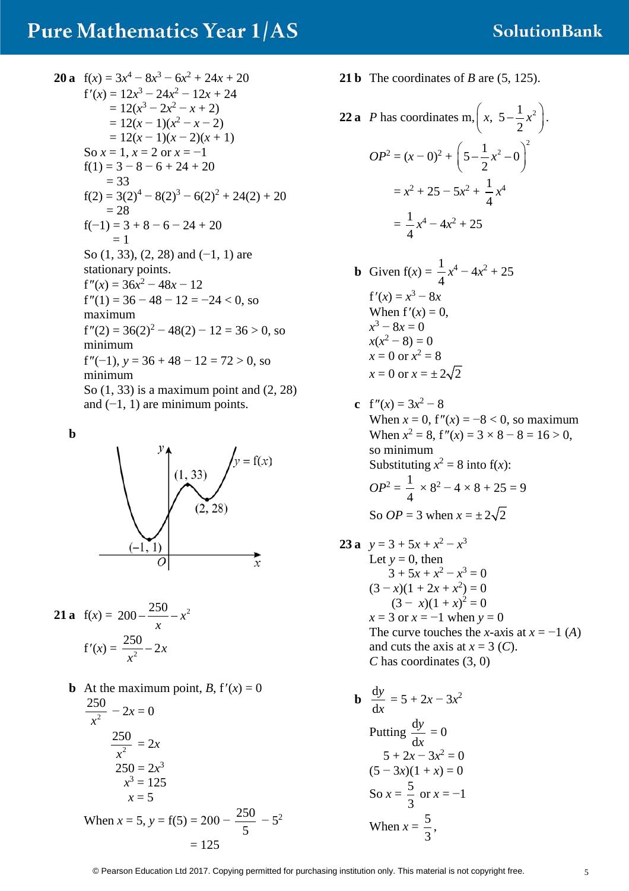20 a 
$$
f(x) = 3x^4 - 8x^3 - 6x^2 + 24x + 20
$$
  
\n $f'(x) = 12x^3 - 24x^2 - 12x + 24$   
\n $= 12(x^3 - 2x^2 - x + 2)$   
\n $= 12(x - 1)(x^2 - x - 2)$   
\n $= 12(x - 1)(x - 2)(x + 1)$   
\nSo  $x = 1, x = 2$  or  $x = -1$   
\n $f(1) = 3 - 8 - 6 + 24 + 20$   
\n $= 33$   
\n $f(2) = 3(2)^4 - 8(2)^3 - 6(2)^2 + 24(2) + 20$   
\n $= 28$   
\n $f(-1) = 3 + 8 - 6 - 24 + 20$   
\n $= 1$   
\nSo (1, 33), (2, 28) and (-1, 1) are  
\nstationary points.  
\n $f''(x) = 36x^2 - 48x - 12$   
\n $f''(1) = 36 - 48 - 12 = -24 < 0$ , so  
\nmaximum  
\n $f''(2) = 36(2)^2 - 48(2) - 12 = 36 > 0$ , so  
\nminimum  
\n $f''(-1), y = 36 + 48 - 12 = 72 > 0$ , so  
\nminimum  
\nSo (1, 33) is a maximum point and (2, 28)  
\nand (-1, 1) are minimum points.

**b**



**21 a** 
$$
f(x) = 200 - \frac{250}{x} - x^2
$$
  
 $f'(x) = \frac{250}{x^2} - 2x$ 

**b** At the maximum point,  $B$ ,  $f'(x) = 0$ 2  $\frac{250}{x^2} - 2x = 0$  $\frac{250}{x^2}$ *x*  $= 2x$  $250 = 2x^3$  $x^3 = 125$  $x = 5$ When  $x = 5$ ,  $y = f(5) = 200 - \frac{250}{5} - 5^2$  $= 125$ 

**21 b** The coordinates of *B* are (5, 125).

22 **a** *P* has coordinates m, 
$$
\left(x, 5 - \frac{1}{2}x^2\right)
$$
.  
\n
$$
OP^2 = (x - 0)^2 + \left(5 - \frac{1}{2}x^2 - 0\right)^2
$$
\n
$$
= x^2 + 25 - 5x^2 + \frac{1}{4}x^4
$$
\n
$$
= \frac{1}{4}x^4 - 4x^2 + 25
$$

- **b** Given  $f(x) = \frac{1}{4}$ 4  $x^4 - 4x^2 + 25$  $f'(x) = x^3 - 8x$ When  $f'(x) = 0$ , *x*<sup>3</sup> − 8*x* = 0  $x(x^2-8)=0$  $x = 0$  or  $x^2 = 8$  $x = 0$  or  $x = \pm 2\sqrt{2}$
- **c**  $f''(x) = 3x^2 8$ When  $x = 0$ ,  $f''(x) = -8 < 0$ , so maximum When  $x^2 = 8$ ,  $f''(x) = 3 \times 8 - 8 = 16 > 0$ , so minimum Substituting  $x^2 = 8$  into  $f(x)$ :  $OP^2 = \frac{1}{4}$ 4  $\times$  8<sup>2</sup> – 4  $\times$  8 + 25 = 9 So  $OP = 3$  when  $x = \pm 2\sqrt{2}$
- **23 a**  $y = 3 + 5x + x^2 x^3$ Let  $y = 0$ , then  $3 + 5x + x^2 - x^3 = 0$  $(3-x)(1+2x+x^2) = 0$  $(3 - x)(1 + x)^2 = 0$ *x* = 3 or *x* = −1 when *y* = 0 The curve touches the *x*-axis at  $x = -1$  (*A*) and cuts the axis at  $x = 3$  (*C*). *C* has coordinates (3, 0)
	- $\mathbf{b} \frac{\mathrm{d}}{\mathrm{d}x}$ d *y x*  $= 5 + 2x - 3x^2$ Putting  $\frac{d}{dt}$ d *y x*  $= 0$  $5 + 2x - 3x^2 = 0$  $(5 - 3x)(1 + x) = 0$ So  $x = \frac{5}{3}$ 3 or  $x = -1$ When  $x = \frac{5}{3}$ 3 ,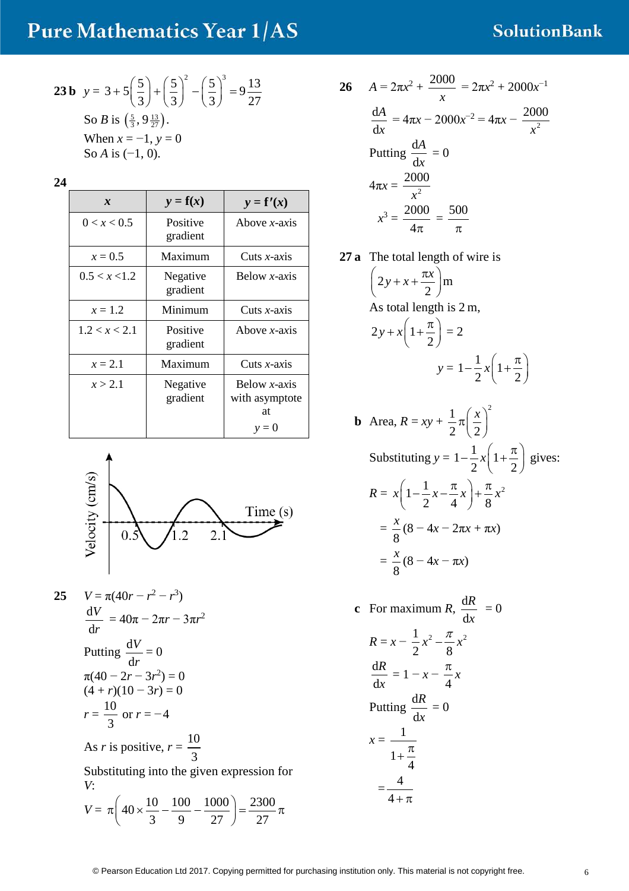## **SolutionBank**

**23 b** 
$$
y = 3 + 5\left(\frac{5}{3}\right) + \left(\frac{5}{3}\right)^2 - \left(\frac{5}{3}\right)^3 = 9\frac{13}{27}
$$
  
So *B* is  $\left(\frac{5}{3}, 9\frac{13}{27}\right)$ .  
When  $x = -1$ ,  $y = 0$   
So *A* is  $(-1, 0)$ .

| $\boldsymbol{x}$ | $y = f(x)$           | $y = f'(x)$                                      |
|------------------|----------------------|--------------------------------------------------|
| 0 < x < 0.5      | Positive<br>gradient | Above $x$ -axis                                  |
| $x = 0.5$        | Maximum              | Cuts $x$ -axis                                   |
| 0.5 < x < 1.2    | Negative<br>gradient | Below $x$ -axis                                  |
| $x = 1.2$        | Minimum              | Cuts $x$ -axis                                   |
| 1.2 < x < 2.1    | Positive<br>gradient | Above $x$ -axis                                  |
| $x = 2.1$        | Maximum              | Cuts $x$ -axis                                   |
| x > 2.1          | Negative<br>gradient | Below $x$ -axis<br>with asymptote<br>at<br>$y=0$ |



25 
$$
V = \pi (40r - r^2 - r^3)
$$
  
\n $\frac{dV}{dr} = 40\pi - 2\pi r - 3\pi r^2$   
\nPutting  $\frac{dV}{dr} = 0$   
\n $\pi (40 - 2r - 3r^2) = 0$   
\n $(4 + r)(10 - 3r) = 0$   
\n $r = \frac{10}{3}$  or  $r = -4$   
\nAs r is positive,  $r = \frac{10}{3}$   
\nSubstituting into the given expression for  
\nV:  
\n $V = \pi \left( 40 \times \frac{10}{3} - \frac{100}{9} - \frac{1000}{27} \right) = \frac{2300}{27} \pi$ 

26 
$$
A = 2\pi x^2 + \frac{2000}{x} = 2\pi x^2 + 2000x^{-1}
$$

$$
\frac{dA}{dx} = 4\pi x - 2000x^{-2} = 4\pi x - \frac{2000}{x^2}
$$
Putting  $\frac{dA}{dx} = 0$ 
$$
4\pi x = \frac{2000}{x^2}
$$

$$
x^3 = \frac{2000}{4\pi} = \frac{500}{\pi}
$$

**27 a** The total length of wire is

$$
\left(2y + x + \frac{\pi x}{2}\right)m
$$
  
As total length is 2 m,  

$$
2y + x\left(1 + \frac{\pi}{2}\right) = 2
$$
  

$$
y = 1 - \frac{1}{2}x\left(1 + \frac{\pi}{2}\right)
$$

**b** Area, 
$$
R = xy + \frac{1}{2}\pi \left(\frac{x}{2}\right)^2
$$
  
\nSubstituting  $y = 1 - \frac{1}{2}x\left(1 + \frac{\pi}{2}\right)$  gives:  
\n
$$
R = x\left(1 - \frac{1}{2}x - \frac{\pi}{4}x\right) + \frac{\pi}{8}x^2
$$
\n
$$
= \frac{x}{8}(8 - 4x - 2\pi x + \pi x)
$$
\n
$$
= \frac{x}{8}(8 - 4x - \pi x)
$$

**c** For maximum *R*,  $\frac{d}{d}$ d *R x*  $= 0$  $R = x - \frac{1}{2}x^2 - \frac{\pi}{6}x^2$ 2 8  $x^2 - \frac{\pi}{2}x$ d d *R*  $\frac{1}{x} = 1 - x - \frac{x}{4}x$ π Putting  $\frac{d}{dx}$ d *R x*  $= 0$  $x = \frac{1}{1}$ 1 4  $+\frac{\pi}{4}$  $=\frac{4}{4}$  $4 + \pi$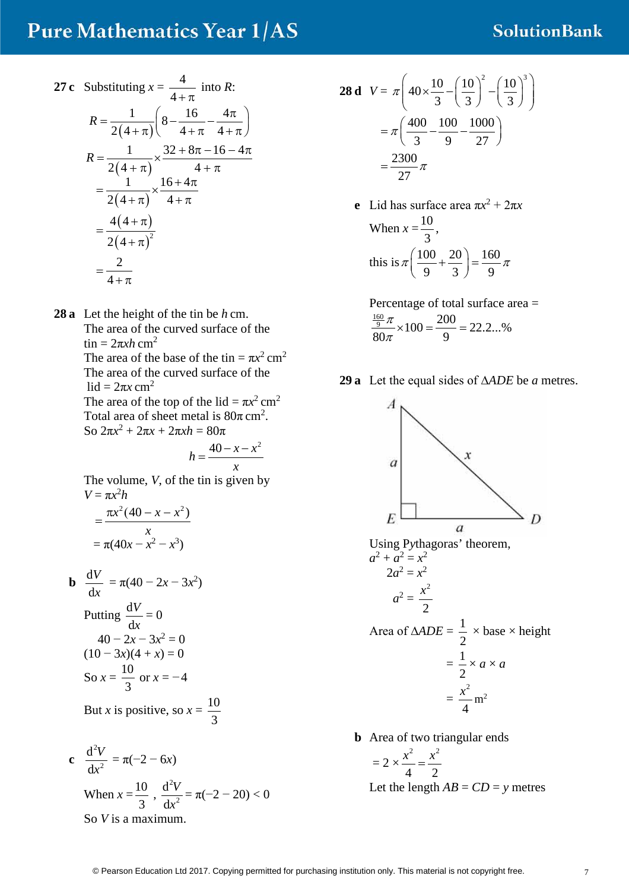#### **SolutionBank**

27 c Substituting 
$$
x = \frac{4}{4 + \pi}
$$
 into R:  
\n
$$
R = \frac{1}{2(4 + \pi)} \left( 8 - \frac{16}{4 + \pi} - \frac{4\pi}{4 + \pi} \right)
$$
\n
$$
R = \frac{1}{2(4 + \pi)} \times \frac{32 + 8\pi - 16 - 4\pi}{4 + \pi}
$$
\n
$$
= \frac{1}{2(4 + \pi)} \times \frac{16 + 4\pi}{4 + \pi}
$$
\n
$$
= \frac{4(4 + \pi)}{2(4 + \pi)^{2}}
$$
\n
$$
= \frac{2}{4 + \pi}
$$

**28 a** Let the height of the tin be *h* cm. The area of the curved surface of the tin =  $2πxh$  cm<sup>2</sup> The area of the base of the tin =  $\pi x^2$  cm<sup>2</sup> The area of the curved surface of the lid =  $2\pi x$  cm<sup>2</sup> The area of the top of the lid =  $\pi x^2$  cm<sup>2</sup> Total area of sheet metal is  $80\pi$  cm<sup>2</sup>. So 2π*x*<sup>2</sup> + 2π*x* + 2π*xh* = 80π  $h = \frac{40 - x - x^2}{ }$ 

The volume, *V*, of the tin is given by  

$$
V = \pi x^2 h
$$

$$
= \frac{\pi x^2 (40 - x - x^2)}{x}
$$
  
=  $\pi (40x - x^2 - x^3)$ 

**b** 
$$
\frac{dV}{dx} = \pi (40 - 2x - 3x^2)
$$
  
Putting 
$$
\frac{dV}{dx} = 0
$$

$$
40 - 2x - 3x^2 = 0
$$

$$
(10 - 3x)(4 + x) = 0
$$

$$
So x = \frac{10}{3} \text{ or } x = -4
$$

But *x* is positive, so  $x = \frac{10}{2}$ 3

c 
$$
\frac{d^2V}{dx^2} = \pi(-2 - 6x)
$$
  
When  $x = \frac{10}{3}$ ,  $\frac{d^2V}{dx^2} = \pi(-2 - 20) < 0$   
So *V* is a maximum.

$$
28 \text{ d } V = \pi \left( 40 \times \frac{10}{3} - \left( \frac{10}{3} \right)^2 - \left( \frac{10}{3} \right)^3 \right)
$$

$$
= \pi \left( \frac{400}{3} - \frac{100}{9} - \frac{1000}{27} \right)
$$

$$
= \frac{2300}{27} \pi
$$

e Lid has surface area 
$$
\pi x^2 + 2\pi x
$$
  
When  $x = \frac{10}{3}$ ,  
this is  $\pi \left(\frac{100}{9} + \frac{20}{3}\right) = \frac{160}{9}\pi$ 

Percentage of total surface area =  $\frac{\frac{160}{9}\pi}{200} \times 100 = \frac{200}{9} = 22.2...$ %  $80\pi$  9 π  $\frac{\pi}{\pi} \times 100 = \frac{288}{9} =$ 

**29 a** Let the equal sides of ∆*ADE* be *a* metres.



$$
= \frac{1}{2} \times a \times b
$$

$$
= \frac{x^2}{4} m^2
$$

**b** Area of two triangular ends

$$
= 2 \times \frac{x^2}{4} = \frac{x^2}{2}
$$
  
Let the length  $AB = CD = y$  metres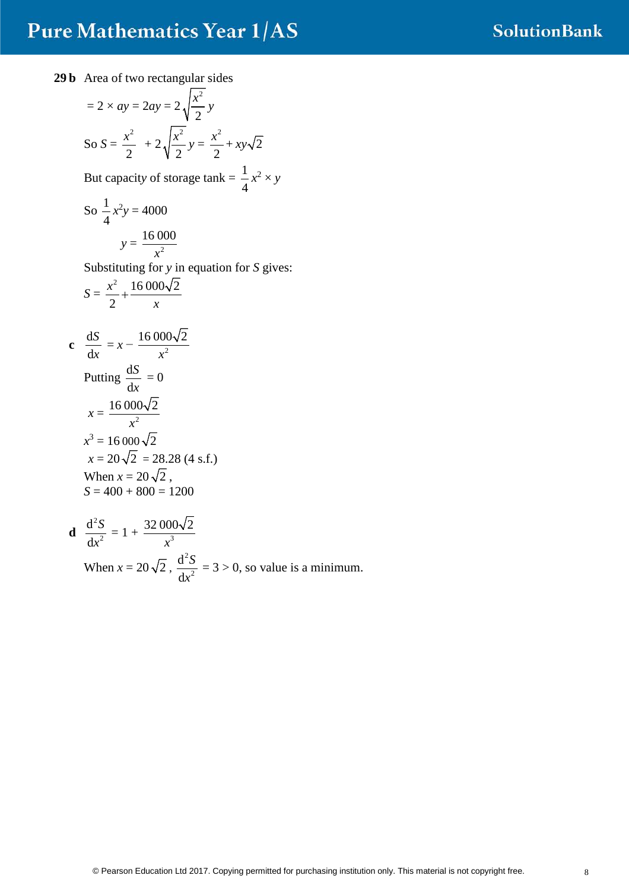**29 b** Area of two rectangular sides

$$
= 2 \times ay = 2ay = 2\sqrt{\frac{x^2}{2}}y
$$
  
So  $S = \frac{x^2}{2} + 2\sqrt{\frac{x^2}{2}}y = \frac{x^2}{2} + xy\sqrt{2}$   
But capacity of storage tank  $= \frac{1}{4}x^2 \times y$   
So  $\frac{1}{4}x^2y = 4000$   
 $y = \frac{16000}{x^2}$   
Substituting for y in equation for S gives:  

$$
S = \frac{x^2}{2} + \frac{16000\sqrt{2}}{x}
$$
  
c  $\frac{dS}{dx} = x - \frac{16000\sqrt{2}}{x^2}$   
Putting  $\frac{dS}{dx} = 0$   
 $x = \frac{16000\sqrt{2}}{x^2}$   
 $x^3 = 16000\sqrt{2}$   
 $x = 20\sqrt{2} = 28.28 (4 \text{ s.f.})$   
When  $x = 20\sqrt{2}$ ,  
 $S = 400 + 800 = 1200$   
d  $\frac{d^2S}{dx^2} = 1 + \frac{32000\sqrt{2}}{x^2}$ 

**d** 2 d  $\frac{x^2}{x^2} = 1 + \frac{32000\sqrt{2}}{x^3}$ *x* When  $x = 20\sqrt{2}$ , 2 2 d d *S x*  $= 3 > 0$ , so value is a minimum.